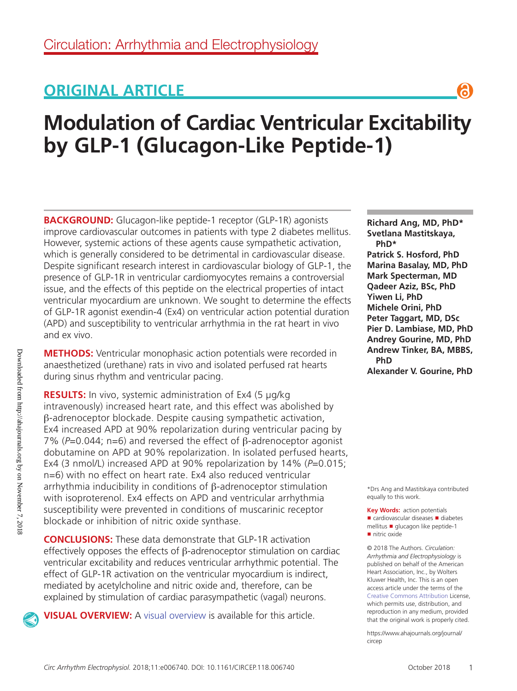## **ORIGINAL ARTICLE**

# **Modulation of Cardiac Ventricular Excitability by GLP-1 (Glucagon-Like Peptide-1)**

**BACKGROUND:** Glucagon-like peptide-1 receptor (GLP-1R) agonists improve cardiovascular outcomes in patients with type 2 diabetes mellitus. However, systemic actions of these agents cause sympathetic activation, which is generally considered to be detrimental in cardiovascular disease. Despite significant research interest in cardiovascular biology of GLP-1, the presence of GLP-1R in ventricular cardiomyocytes remains a controversial issue, and the effects of this peptide on the electrical properties of intact ventricular myocardium are unknown. We sought to determine the effects of GLP-1R agonist exendin-4 (Ex4) on ventricular action potential duration (APD) and susceptibility to ventricular arrhythmia in the rat heart in vivo and ex vivo.

**METHODS:** Ventricular monophasic action potentials were recorded in anaesthetized (urethane) rats in vivo and isolated perfused rat hearts during sinus rhythm and ventricular pacing.

**RESULTS:** In vivo, systemic administration of Ex4 (5 μg/kg intravenously) increased heart rate, and this effect was abolished by β-adrenoceptor blockade. Despite causing sympathetic activation, Ex4 increased APD at 90% repolarization during ventricular pacing by 7% (*P*=0.044; n=6) and reversed the effect of β-adrenoceptor agonist dobutamine on APD at 90% repolarization. In isolated perfused hearts, Ex4 (3 nmol/L) increased APD at 90% repolarization by 14% (P=0.015; n=6) with no effect on heart rate. Ex4 also reduced ventricular arrhythmia inducibility in conditions of β-adrenoceptor stimulation with isoproterenol. Ex4 effects on APD and ventricular arrhythmia susceptibility were prevented in conditions of muscarinic receptor blockade or inhibition of nitric oxide synthase.

**CONCLUSIONS:** These data demonstrate that GLP-1R activation effectively opposes the effects of β-adrenoceptor stimulation on cardiac ventricular excitability and reduces ventricular arrhythmic potential. The effect of GLP-1R activation on the ventricular myocardium is indirect, mediated by acetylcholine and nitric oxide and, therefore, can be explained by stimulation of cardiac parasympathetic (vagal) neurons.

**VISUAL OVERVIEW:** A visual overview is available for this article.

**Richard Ang, MD, PhD\* Svetlana Mastitskaya, PhD\* Patrick S. Hosford, PhD Marina Basalay, MD, PhD Mark Specterman, MD Qadeer Aziz, BSc, PhD Yiwen Li, PhD Michele Orini, PhD Peter Taggart, MD, DSc Pier D. Lambiase, MD, PhD Andrey Gourine, MD, PhD Andrew Tinker, BA, MBBS, PhD Alexander V. Gourine, PhD**

Я

\*Drs Ang and Mastitskaya contributed equally to this work.

**Key Words:** action potentials ■ cardiovascular diseases ■ diabetes mellitus ◼ glucagon like peptide-1 ■ nitric oxide

© 2018 The Authors. *Circulation: Arrhythmia and Electrophysiology* is published on behalf of the American Heart Association, Inc., by Wolters Kluwer Health, Inc. This is an open access article under the terms of the Creative Commons Attribution License, which permits use, distribution, and reproduction in any medium, provided that the original work is properly cited.

https://www.ahajournals.org/journal/ circep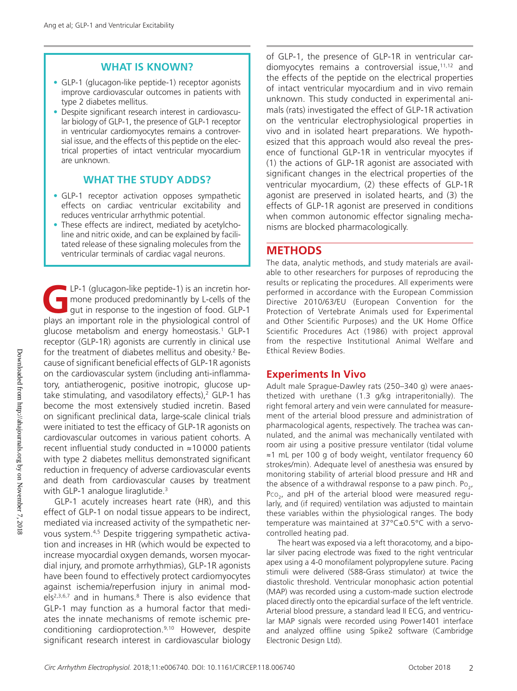#### **WHAT IS KNOWN?**

- GLP-1 (glucagon-like peptide-1) receptor agonists improve cardiovascular outcomes in patients with type 2 diabetes mellitus.
- Despite significant research interest in cardiovascular biology of GLP-1, the presence of GLP-1 receptor in ventricular cardiomyocytes remains a controversial issue, and the effects of this peptide on the electrical properties of intact ventricular myocardium are unknown.

#### **WHAT THE STUDY ADDS?**

- GLP-1 receptor activation opposes sympathetic effects on cardiac ventricular excitability and reduces ventricular arrhythmic potential.
- These effects are indirect, mediated by acetylcholine and nitric oxide, and can be explained by facilitated release of these signaling molecules from the ventricular terminals of cardiac vagal neurons.

LP-1 (glucagon-like peptide-1) is an incretin hor-<br>mone produced predominantly by L-cells of the<br>gut in response to the ingestion of food. GLP-1<br>plays an important role in the physiological control of mone produced predominantly by L-cells of the gut in response to the ingestion of food. GLP-1 plays an important role in the physiological control of glucose metabolism and energy homeostasis.<sup>1</sup> GLP-1 receptor (GLP-1R) agonists are currently in clinical use for the treatment of diabetes mellitus and obesity.<sup>2</sup> Because of significant beneficial effects of GLP-1R agonists on the cardiovascular system (including anti-inflammatory, antiatherogenic, positive inotropic, glucose uptake stimulating, and vasodilatory effects), $2$  GLP-1 has become the most extensively studied incretin. Based on significant preclinical data, large-scale clinical trials were initiated to test the efficacy of GLP-1R agonists on cardiovascular outcomes in various patient cohorts. A recent influential study conducted in ≈10000 patients with type 2 diabetes mellitus demonstrated significant reduction in frequency of adverse cardiovascular events and death from cardiovascular causes by treatment with GLP-1 analogue liraglutide.<sup>3</sup>

GLP-1 acutely increases heart rate (HR), and this effect of GLP-1 on nodal tissue appears to be indirect, mediated via increased activity of the sympathetic nervous system.4,5 Despite triggering sympathetic activation and increases in HR (which would be expected to increase myocardial oxygen demands, worsen myocardial injury, and promote arrhythmias), GLP-1R agonists have been found to effectively protect cardiomyocytes against ischemia/reperfusion injury in animal models<sup>2,3,6,7</sup> and in humans.<sup>8</sup> There is also evidence that GLP-1 may function as a humoral factor that mediates the innate mechanisms of remote ischemic preconditioning cardioprotection.9,10 However, despite significant research interest in cardiovascular biology

of GLP-1, the presence of GLP-1R in ventricular cardiomyocytes remains a controversial issue, $11,12$  and the effects of the peptide on the electrical properties of intact ventricular myocardium and in vivo remain unknown. This study conducted in experimental animals (rats) investigated the effect of GLP-1R activation on the ventricular electrophysiological properties in vivo and in isolated heart preparations. We hypothesized that this approach would also reveal the presence of functional GLP-1R in ventricular myocytes if (1) the actions of GLP-1R agonist are associated with significant changes in the electrical properties of the ventricular myocardium, (2) these effects of GLP-1R agonist are preserved in isolated hearts, and (3) the effects of GLP-1R agonist are preserved in conditions when common autonomic effector signaling mechanisms are blocked pharmacologically.

## **METHODS**

The data, analytic methods, and study materials are available to other researchers for purposes of reproducing the results or replicating the procedures. All experiments were performed in accordance with the European Commission Directive 2010/63/EU (European Convention for the Protection of Vertebrate Animals used for Experimental and Other Scientific Purposes) and the UK Home Office Scientific Procedures Act (1986) with project approval from the respective Institutional Animal Welfare and Ethical Review Bodies.

## **Experiments In Vivo**

Adult male Sprague-Dawley rats (250–340 g) were anaesthetized with urethane (1.3 g/kg intraperitonially). The right femoral artery and vein were cannulated for measurement of the arterial blood pressure and administration of pharmacological agents, respectively. The trachea was cannulated, and the animal was mechanically ventilated with room air using a positive pressure ventilator (tidal volume ≈1 mL per 100 g of body weight, ventilator frequency 60 strokes/min). Adequate level of anesthesia was ensured by monitoring stability of arterial blood pressure and HR and the absence of a withdrawal response to a paw pinch. Po<sub>2</sub>, Pco<sub>2</sub>, and pH of the arterial blood were measured regularly, and (if required) ventilation was adjusted to maintain these variables within the physiological ranges. The body temperature was maintained at 37°C±0.5°C with a servocontrolled heating pad.

The heart was exposed via a left thoracotomy, and a bipolar silver pacing electrode was fixed to the right ventricular apex using a 4-0 monofilament polypropylene suture. Pacing stimuli were delivered (S88-Grass stimulator) at twice the diastolic threshold. Ventricular monophasic action potential (MAP) was recorded using a custom-made suction electrode placed directly onto the epicardial surface of the left ventricle. Arterial blood pressure, a standard lead II ECG, and ventricular MAP signals were recorded using Power1401 interface and analyzed offline using Spike2 software (Cambridge Electronic Design Ltd).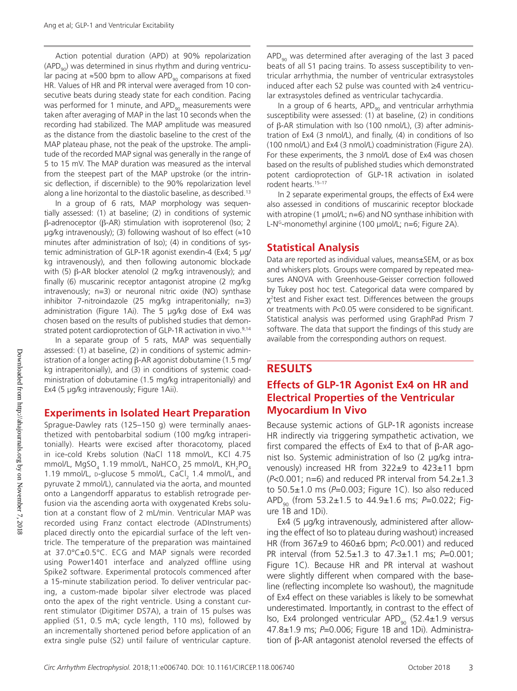Action potential duration (APD) at 90% repolarization  $(APD<sub>90</sub>)$  was determined in sinus rhythm and during ventricular pacing at ≈500 bpm to allow APD<sub>90</sub> comparisons at fixed HR. Values of HR and PR interval were averaged from 10 consecutive beats during steady state for each condition. Pacing was performed for 1 minute, and APD $_{90}$  measurements were taken after averaging of MAP in the last 10 seconds when the recording had stabilized. The MAP amplitude was measured as the distance from the diastolic baseline to the crest of the MAP plateau phase, not the peak of the upstroke. The amplitude of the recorded MAP signal was generally in the range of 5 to 15 mV. The MAP duration was measured as the interval from the steepest part of the MAP upstroke (or the intrinsic deflection, if discernible) to the 90% repolarization level along a line horizontal to the diastolic baseline, as described.<sup>13</sup>

In a group of 6 rats, MAP morphology was sequentially assessed: (1) at baseline; (2) in conditions of systemic β-adrenoceptor (β-AR) stimulation with isoproterenol (Iso; 2  $\mu$ g/kg intravenously); (3) following washout of Iso effect ( $\approx$ 10 minutes after administration of Iso); (4) in conditions of systemic administration of GLP-1R agonist exendin-4 (Ex4; 5 μg/ kg intravenously), and then following autonomic blockade with (5) β-AR blocker atenolol (2 mg/kg intravenously); and finally (6) muscarinic receptor antagonist atropine (2 mg/kg intravenously; n=3) or neuronal nitric oxide (NO) synthase inhibitor 7-nitroindazole (25 mg/kg intraperitonially; n=3) administration (Figure 1Ai). The 5 μg/kg dose of Ex4 was chosen based on the results of published studies that demonstrated potent cardioprotection of GLP-1R activation in vivo.<sup>9,14</sup>

In a separate group of 5 rats, MAP was sequentially assessed: (1) at baseline, (2) in conditions of systemic administration of a longer acting β-AR agonist dobutamine (1.5 mg/ kg intraperitonially), and (3) in conditions of systemic coadministration of dobutamine (1.5 mg/kg intraperitonially) and Ex4 (5 μg/kg intravenously; Figure 1Aii).

#### **Experiments in Isolated Heart Preparation**

Sprague-Dawley rats (125–150 g) were terminally anaesthetized with pentobarbital sodium (100 mg/kg intraperitonially). Hearts were excised after thoracotomy, placed in ice-cold Krebs solution (NaCl 118 mmol/L, KCl 4.75 mmol/L, MgSO $_4$  1.19 mmol/L, NaHCO $_3$  25 mmol/L, KH $_2$ PO $_4$ 1.19 mmol/L, p-glucose 5 mmol/L,  $CaCl<sub>2</sub>$  1.4 mmol/L, and pyruvate 2 mmol/L), cannulated via the aorta, and mounted onto a Langendorff apparatus to establish retrograde perfusion via the ascending aorta with oxygenated Krebs solution at a constant flow of 2 mL/min. Ventricular MAP was recorded using Franz contact electrode (ADInstruments) placed directly onto the epicardial surface of the left ventricle. The temperature of the preparation was maintained at 37.0°C±0.5°C. ECG and MAP signals were recorded using Power1401 interface and analyzed offline using Spike2 software. Experimental protocols commenced after a 15-minute stabilization period. To deliver ventricular pacing, a custom-made bipolar silver electrode was placed onto the apex of the right ventricle. Using a constant current stimulator (Digitimer DS7A), a train of 15 pulses was applied (S1, 0.5 mA; cycle length, 110 ms), followed by an incrementally shortened period before application of an extra single pulse (S2) until failure of ventricular capture.

 $APD<sub>90</sub>$  was determined after averaging of the last 3 paced beats of all S1 pacing trains. To assess susceptibility to ventricular arrhythmia, the number of ventricular extrasystoles induced after each S2 pulse was counted with ≥4 ventricular extrasystoles defined as ventricular tachycardia.

In a group of 6 hearts, APD $_{90}$  and ventricular arrhythmia susceptibility were assessed: (1) at baseline, (2) in conditions of β-AR stimulation with Iso (100 nmol/L), (3) after administration of Ex4 (3 nmol/L), and finally, (4) in conditions of Iso (100 nmol/L) and Ex4 (3 nmol/L) coadministration (Figure 2A). For these experiments, the 3 nmol/L dose of Ex4 was chosen based on the results of published studies which demonstrated potent cardioprotection of GLP-1R activation in isolated rodent hearts.<sup>15-17</sup>

In 2 separate experimental groups, the effects of Ex4 were also assessed in conditions of muscarinic receptor blockade with atropine (1 μmol/L; n=6) and NO synthase inhibition with L-N<sup>G</sup>-monomethyl arginine (100  $\mu$ mol/L; n=6; Figure 2A).

#### **Statistical Analysis**

Data are reported as individual values, means±SEM, or as box and whiskers plots. Groups were compared by repeated measures ANOVA with Greenhouse-Geisser correction followed by Tukey post hoc test. Categorical data were compared by  $\chi^2$ test and Fisher exact test. Differences between the groups or treatments with *P*<0.05 were considered to be significant. Statistical analysis was performed using GraphPad Prism 7 software. The data that support the findings of this study are available from the corresponding authors on request.

## **RESULTS**

## **Effects of GLP-1R Agonist Ex4 on HR and Electrical Properties of the Ventricular Myocardium In Vivo**

Because systemic actions of GLP-1R agonists increase HR indirectly via triggering sympathetic activation, we first compared the effects of Ex4 to that of  $\beta$ -AR agonist Iso. Systemic administration of Iso (2 μg/kg intravenously) increased HR from  $322±9$  to  $423±11$  bpm (*P*<0.001; n=6) and reduced PR interval from 54.2±1.3 to 50.5±1.0 ms (*P*=0.003; Figure 1C). Iso also reduced APD90 (from 53.2±1.5 to 44.9±1.6 ms; *P*=0.022; Figure 1B and 1Di).

Ex4 (5 μg/kg intravenously, administered after allowing the effect of Iso to plateau during washout) increased HR (from 367±9 to 460±6 bpm; *P*<0.001) and reduced PR interval (from 52.5±1.3 to 47.3±1.1 ms; *P*=0.001; Figure 1C). Because HR and PR interval at washout were slightly different when compared with the baseline (reflecting incomplete Iso washout), the magnitude of Ex4 effect on these variables is likely to be somewhat underestimated. Importantly, in contrast to the effect of Iso, Ex4 prolonged ventricular APD<sub>90</sub> (52.4 $\pm$ 1.9 versus 47.8±1.9 ms; *P*=0.006; Figure 1B and 1Di). Administration of β-AR antagonist atenolol reversed the effects of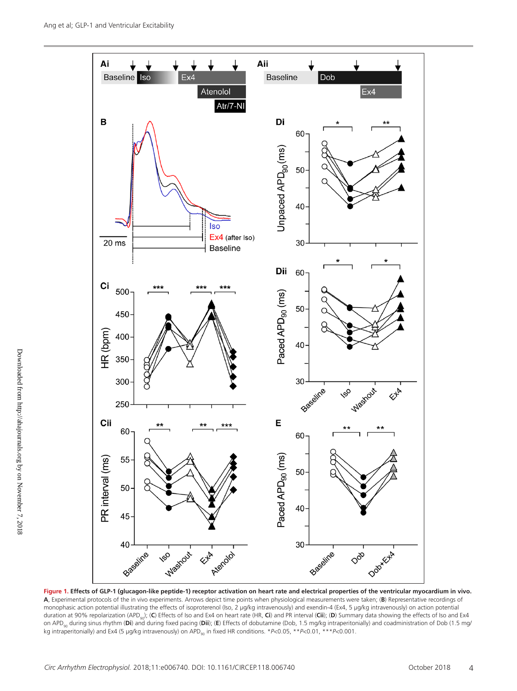

**Figure 1. Effects of GLP-1 (glucagon-like peptide-1) receptor activation on heart rate and electrical properties of the ventricular myocardium in vivo. A**, Experimental protocols of the in vivo experiments. Arrows depict time points when physiological measurements were taken; (**B**) Representative recordings of monophasic action potential illustrating the effects of isoproterenol (Iso, 2 μg/kg intravenously) and exendin-4 (Ex4, 5 μg/kg intravenously) on action potential duration at 90% repolarization (APD<sub>90</sub>); (C) Effects of Iso and Ex4 on heart rate (HR, Ci) and PR interval (Cii); (D) Summary data showing the effects of Iso and Ex4 on APD<sub>90</sub> during sinus rhythm (Di) and during fixed pacing (Dii); (E) Effects of dobutamine (Dob, 1.5 mg/kg intraperitonially) and coadministration of Dob (1.5 mg/ kg intraperitonially) and Ex4 (5 μg/kg intravenously) on APD<sub>an</sub> in fixed HR conditions. \**P*<0.05, \*\**P*<0.01, \*\*\**P*<0.001.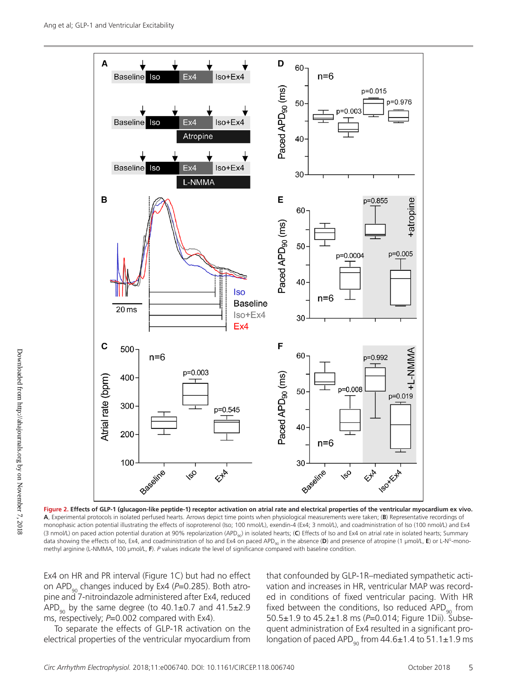

**Figure 2. Effects of GLP-1 (glucagon-like peptide-1) receptor activation on atrial rate and electrical properties of the ventricular myocardium ex vivo. A**, Experimental protocols in isolated perfused hearts. Arrows depict time points when physiological measurements were taken; (**B**) Representative recordings of monophasic action potential illustrating the effects of isoproterenol (Iso; 100 nmol/L), exendin-4 (Ex4; 3 nmol/L), and coadministration of Iso (100 nmol/L) and Ex4 (3 nmol/L) on paced action potential duration at 90% repolarization (APD<sub>90</sub>) in isolated hearts; (C) Effects of Iso and Ex4 on atrial rate in isolated hearts; Summary data showing the effects of Iso, Ex4, and coadministration of Iso and Ex4 on paced APD<sub>a0</sub> in the absence (**D**) and presence of atropine (1 μmol/L, **E**) or L-N<sup>G</sup>-monomethyl arginine (L-NMMA, 100 μmol/L, **F**). *P* values indicate the level of significance compared with baseline condition.

Ex4 on HR and PR interval (Figure 1C) but had no effect on APD<sub>90</sub> changes induced by Ex4 (P=0.285). Both atropine and 7-nitroindazole administered after Ex4, reduced APD<sub>90</sub> by the same degree (to  $40.1\pm0.7$  and  $41.5\pm2.9$ ms, respectively; *P*=0.002 compared with Ex4).

To separate the effects of GLP-1R activation on the electrical properties of the ventricular myocardium from that confounded by GLP-1R–mediated sympathetic activation and increases in HR, ventricular MAP was recorded in conditions of fixed ventricular pacing. With HR fixed between the conditions, Iso reduced APD $_{90}$  from 50.5±1.9 to 45.2±1.8 ms (*P*=0.014; Figure 1Dii). Subsequent administration of Ex4 resulted in a significant prolongation of paced APD<sub>90</sub> from  $44.6\pm1.4$  to 51.1 $\pm$ 1.9 ms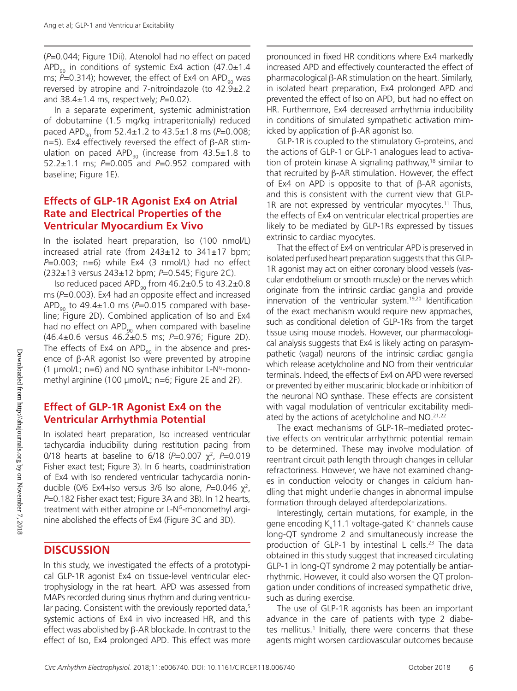(*P*=0.044; Figure 1Dii). Atenolol had no effect on paced APD<sub>90</sub> in conditions of systemic Ex4 action (47.0 $\pm$ 1.4 ms;  $P=0.314$ ); however, the effect of Ex4 on APD<sub>90</sub> was reversed by atropine and 7-nitroindazole (to  $42.9 \pm 2.2$ and 38.4±1.4 ms, respectively; *P*=0.02).

In a separate experiment, systemic administration of dobutamine (1.5 mg/kg intraperitonially) reduced paced APD<sub>90</sub> from 52.4±1.2 to 43.5±1.8 ms (*P*=0.008; n=5). Ex4 effectively reversed the effect of β-AR stimulation on paced APD<sub>90</sub> (increase from  $43.5 \pm 1.8$  to 52.2±1.1 ms; *P*=0.005 and *P*=0.952 compared with baseline; Figure 1E).

## **Effects of GLP-1R Agonist Ex4 on Atrial Rate and Electrical Properties of the Ventricular Myocardium Ex Vivo**

In the isolated heart preparation, Iso (100 nmol/L) increased atrial rate (from 243±12 to 341±17 bpm; *P*=0.003; n=6) while Ex4 (3 nmol/L) had no effect (232±13 versus 243±12 bpm; *P*=0.545; Figure 2C).

Iso reduced paced APD<sub>90</sub> from  $46.2\pm0.5$  to  $43.2\pm0.8$ ms (*P*=0.003). Ex4 had an opposite effect and increased APD<sub>90</sub> to 49.4 $\pm$ 1.0 ms ( $P$ =0.015 compared with baseline; Figure 2D). Combined application of Iso and Ex4 had no effect on  $APD_{90}$  when compared with baseline (46.4±0.6 versus 46.2±0.5 ms; *P*=0.976; Figure 2D). The effects of Ex4 on APD $_{90}$  in the absence and presence of β-AR agonist Iso were prevented by atropine (1  $\mu$ mol/L; n=6) and NO synthase inhibitor L-N<sup>G</sup>-monomethyl arginine (100 μmol/L; n=6; Figure 2E and 2F).

## **Effect of GLP-1R Agonist Ex4 on the Ventricular Arrhythmia Potential**

In isolated heart preparation, Iso increased ventricular tachycardia inducibility during restitution pacing from 0/18 hearts at baseline to 6/18 (*P*=0.007 χ<sup>2</sup> , *P*=0.019 Fisher exact test; Figure 3). In 6 hearts, coadministration of Ex4 with Iso rendered ventricular tachycardia noninducible (0/6 Ex4+Iso versus 3/6 Iso alone, *P*=0.046 χ<sup>2</sup>, *P*=0.182 Fisher exact test; Figure 3A and 3B). In 12 hearts, treatment with either atropine or L-NG-monomethyl arginine abolished the effects of Ex4 (Figure 3C and 3D).

## **DISCUSSION**

In this study, we investigated the effects of a prototypical GLP-1R agonist Ex4 on tissue-level ventricular electrophysiology in the rat heart. APD was assessed from MAPs recorded during sinus rhythm and during ventricular pacing. Consistent with the previously reported data,<sup>5</sup> systemic actions of Ex4 in vivo increased HR, and this effect was abolished by β-AR blockade. In contrast to the effect of Iso, Ex4 prolonged APD. This effect was more

pronounced in fixed HR conditions where Ex4 markedly increased APD and effectively counteracted the effect of pharmacological β-AR stimulation on the heart. Similarly, in isolated heart preparation, Ex4 prolonged APD and prevented the effect of Iso on APD, but had no effect on HR. Furthermore, Ex4 decreased arrhythmia inducibility in conditions of simulated sympathetic activation mimicked by application of β-AR agonist Iso.

GLP-1R is coupled to the stimulatory G-proteins, and the actions of GLP-1 or GLP-1 analogues lead to activation of protein kinase A signaling pathway,<sup>18</sup> similar to that recruited by β-AR stimulation. However, the effect of Ex4 on APD is opposite to that of β-AR agonists, and this is consistent with the current view that GLP-1R are not expressed by ventricular myocytes.<sup>11</sup> Thus, the effects of Ex4 on ventricular electrical properties are likely to be mediated by GLP-1Rs expressed by tissues extrinsic to cardiac myocytes.

That the effect of Ex4 on ventricular APD is preserved in isolated perfused heart preparation suggests that this GLP-1R agonist may act on either coronary blood vessels (vascular endothelium or smooth muscle) or the nerves which originate from the intrinsic cardiac ganglia and provide innervation of the ventricular system.<sup>19,20</sup> Identification of the exact mechanism would require new approaches, such as conditional deletion of GLP-1Rs from the target tissue using mouse models. However, our pharmacological analysis suggests that Ex4 is likely acting on parasympathetic (vagal) neurons of the intrinsic cardiac ganglia which release acetylcholine and NO from their ventricular terminals. Indeed, the effects of Ex4 on APD were reversed or prevented by either muscarinic blockade or inhibition of the neuronal NO synthase. These effects are consistent with vagal modulation of ventricular excitability mediated by the actions of acetylcholine and NO.<sup>21,22</sup>

The exact mechanisms of GLP-1R–mediated protective effects on ventricular arrhythmic potential remain to be determined. These may involve modulation of reentrant circuit path length through changes in cellular refractoriness. However, we have not examined changes in conduction velocity or changes in calcium handling that might underlie changes in abnormal impulse formation through delayed afterdepolarizations.

Interestingly, certain mutations, for example, in the gene encoding K<sub>v</sub>11.1 voltage-gated K<sup>+</sup> channels cause long-QT syndrome 2 and simultaneously increase the production of GLP-1 by intestinal L cells.<sup>23</sup> The data obtained in this study suggest that increased circulating GLP-1 in long-QT syndrome 2 may potentially be antiarrhythmic. However, it could also worsen the QT prolongation under conditions of increased sympathetic drive, such as during exercise.

The use of GLP-1R agonists has been an important advance in the care of patients with type 2 diabetes mellitus.<sup>1</sup> Initially, there were concerns that these agents might worsen cardiovascular outcomes because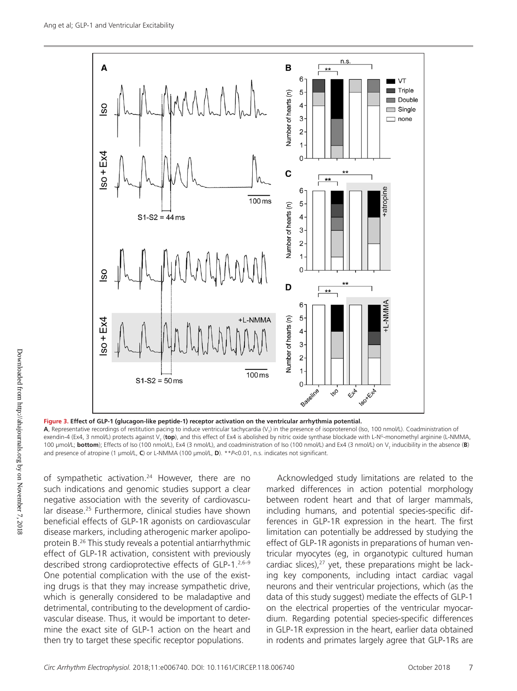

**Figure 3. Effect of GLP-1 (glucagon-like peptide-1) receptor activation on the ventricular arrhythmia potential.**

**A**, Representative recordings of restitution pacing to induce ventricular tachycardia (V<sub>T</sub>) in the presence of isoproterenol (Iso, 100 nmol/L). Coadministration of exendin-4 (Ex4, 3 nmol/L) protects against V<sub>T</sub> (**top**), and this effect of Ex4 is abolished by nitric oxide synthase blockade with L-N<sup>G</sup>-monomethyl arginine (L-NMMA, 100 μmol/L; **bottom**); Effects of Iso (100 nmol/L), Ex4 (3 nmol/L), and coadministration of Iso (100 nmol/L) and Ex4 (3 nmol/L) on V<sub>τ</sub> inducibility in the absence (**B**) and presence of atropine (1 μmol/L, **C**) or L-NMMA (100 μmol/L, **D**). \*\**P*<0.01, n.s. indicates not significant.

of sympathetic activation.<sup>24</sup> However, there are no such indications and genomic studies support a clear negative association with the severity of cardiovascular disease.25 Furthermore, clinical studies have shown beneficial effects of GLP-1R agonists on cardiovascular disease markers, including atherogenic marker apolipoprotein B.26 This study reveals a potential antiarrhythmic effect of GLP-1R activation, consistent with previously described strong cardioprotective effects of GLP-1.2,6–9 One potential complication with the use of the existing drugs is that they may increase sympathetic drive, which is generally considered to be maladaptive and detrimental, contributing to the development of cardiovascular disease. Thus, it would be important to determine the exact site of GLP-1 action on the heart and then try to target these specific receptor populations.

Acknowledged study limitations are related to the marked differences in action potential morphology between rodent heart and that of larger mammals, including humans, and potential species-specific differences in GLP-1R expression in the heart. The first limitation can potentially be addressed by studying the effect of GLP-1R agonists in preparations of human ventricular myocytes (eg, in organotypic cultured human cardiac slices), $27$  yet, these preparations might be lacking key components, including intact cardiac vagal neurons and their ventricular projections, which (as the data of this study suggest) mediate the effects of GLP-1 on the electrical properties of the ventricular myocardium. Regarding potential species-specific differences in GLP-1R expression in the heart, earlier data obtained in rodents and primates largely agree that GLP-1Rs are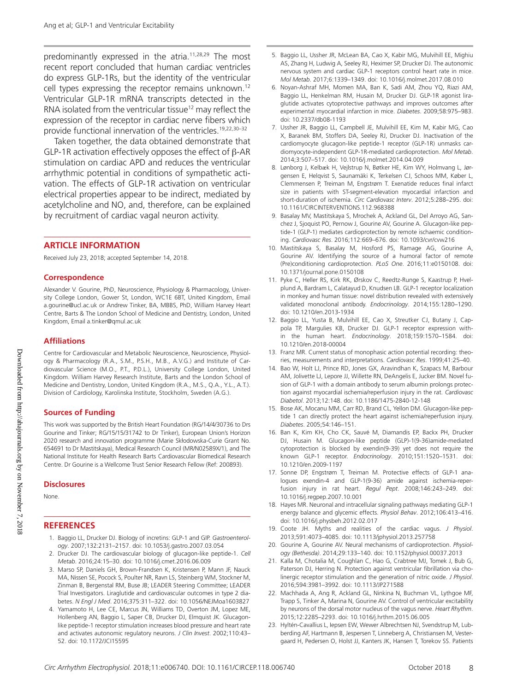predominantly expressed in the atria.<sup>11,28,29</sup> The most recent report concluded that human cardiac ventricles do express GLP-1Rs, but the identity of the ventricular cell types expressing the receptor remains unknown.<sup>12</sup> Ventricular GLP-1R mRNA transcripts detected in the RNA isolated from the ventricular tissue<sup>12</sup> may reflect the expression of the receptor in cardiac nerve fibers which provide functional innervation of the ventricles.19,22,30–32

Taken together, the data obtained demonstrate that GLP-1R activation effectively opposes the effect of β-AR stimulation on cardiac APD and reduces the ventricular arrhythmic potential in conditions of sympathetic activation. The effects of GLP-1R activation on ventricular electrical properties appear to be indirect, mediated by acetylcholine and NO, and, therefore, can be explained by recruitment of cardiac vagal neuron activity.

#### **ARTICLE INFORMATION**

Received July 23, 2018; accepted September 14, 2018.

#### **Correspondence**

Alexander V. Gourine, PhD, Neuroscience, Physiology & Pharmacology, University College London, Gower St, London, WC1E 6BT, United Kingdom, Email [a.gourine@ucl.ac.uk](mailto:a.gourine@ucl.ac.uk) or Andrew Tinker, BA, MBBS, PhD, William Harvey Heart Centre, Barts & The London School of Medicine and Dentistry, London, United Kingdom, Email [a.tinker@qmul.ac.uk](mailto:a.tinker@qmul.ac.uk)

#### **Affiliations**

Centre for Cardiovascular and Metabolic Neuroscience, Neuroscience, Physiology & Pharmacology (R.A., S.M., P.S.H., M.B., A.V.G.) and Institute of Cardiovascular Science (M.O., P.T., P.D.L.), University College London, United Kingdom. William Harvey Research Institute, Barts and the London School of Medicine and Dentistry, London, United Kingdom (R.A., M.S., Q.A., Y.L., A.T.). Division of Cardiology, Karolinska Institute, Stockholm, Sweden (A.G.).

#### **Sources of Funding**

This work was supported by the British Heart Foundation (RG/14/4/30736 to Drs Gourine and Tinker; RG/15/15/31742 to Dr Tinker), European Union's Horizon 2020 research and innovation programme (Marie Skłodowska-Curie Grant No. 654691 to Dr Mastitskaya), Medical Research Council (MR/N02589X/1), and The National Institute for Health Research Barts Cardiovascular Biomedical Research Centre. Dr Gourine is a Wellcome Trust Senior Research Fellow (Ref: 200893).

#### **Disclosures**

None.

#### **REFERENCES**

- 1. Baggio LL, Drucker DJ. Biology of incretins: GLP-1 and GIP. *Gastroenterology*. 2007;132:2131–2157. doi: 10.1053/j.gastro.2007.03.054
- 2. Drucker DJ. The cardiovascular biology of glucagon-like peptide-1. *Cell Metab*. 2016;24:15–30. doi: 10.1016/j.cmet.2016.06.009
- 3. Marso SP, Daniels GH, Brown-Frandsen K, Kristensen P, Mann JF, Nauck MA, Nissen SE, Pocock S, Poulter NR, Ravn LS, Steinberg WM, Stockner M, Zinman B, Bergenstal RM, Buse JB; LEADER Steering Committee; LEADER Trial Investigators. Liraglutide and cardiovascular outcomes in type 2 diabetes. *N Engl J Med*. 2016;375:311–322. doi: 10.1056/NEJMoa1603827
- 4. Yamamoto H, Lee CE, Marcus JN, Williams TD, Overton JM, Lopez ME, Hollenberg AN, Baggio L, Saper CB, Drucker DJ, Elmquist JK. Glucagonlike peptide-1 receptor stimulation increases blood pressure and heart rate and activates autonomic regulatory neurons. *J Clin Invest*. 2002;110:43– 52. doi: 10.1172/JCI15595
- 5. Baggio LL, Ussher JR, McLean BA, Cao X, Kabir MG, Mulvihill EE, Mighiu AS, Zhang H, Ludwig A, Seeley RJ, Heximer SP, Drucker DJ. The autonomic nervous system and cardiac GLP-1 receptors control heart rate in mice. *Mol Metab*. 2017;6:1339–1349. doi: 10.1016/j.molmet.2017.08.010
- 6. Noyan-Ashraf MH, Momen MA, Ban K, Sadi AM, Zhou YQ, Riazi AM, Baggio LL, Henkelman RM, Husain M, Drucker DJ. GLP-1R agonist liraglutide activates cytoprotective pathways and improves outcomes after experimental myocardial infarction in mice. *Diabetes*. 2009;58:975–983. doi: 10.2337/db08-1193
- 7. Ussher JR, Baggio LL, Campbell JE, Mulvihill EE, Kim M, Kabir MG, Cao X, Baranek BM, Stoffers DA, Seeley RJ, Drucker DJ. Inactivation of the cardiomyocyte glucagon-like peptide-1 receptor (GLP-1R) unmasks cardiomyocyte-independent GLP-1R-mediated cardioprotection. *Mol Metab*. 2014;3:507–517. doi: 10.1016/j.molmet.2014.04.009
- 8. Lønborg J, Kelbæk H, Vejlstrup N, Bøtker HE, Kim WY, Holmvang L, Jørgensen E, Helqvist S, Saunamäki K, Terkelsen CJ, Schoos MM, Køber L, Clemmensen P, Treiman M, Engstrøm T. Exenatide reduces final infarct size in patients with ST-segment-elevation myocardial infarction and short-duration of ischemia. *Circ Cardiovasc Interv*. 2012;5:288–295. doi: 10.1161/CIRCINTERVENTIONS.112.968388
- 9. Basalay MV, Mastitskaya S, Mrochek A, Ackland GL, Del Arroyo AG, Sanchez J, Sjoquist PO, Pernow J, Gourine AV, Gourine A. Glucagon-like peptide-1 (GLP-1) mediates cardioprotection by remote ischaemic conditioning. *Cardiovasc Res*. 2016;112:669–676. doi: 10.1093/cvr/cvw216
- 10. Mastitskaya S, Basalay M, Hosford PS, Ramage AG, Gourine A, Gourine AV. Identifying the source of a humoral factor of remote (Pre)conditioning cardioprotection. *PLoS One*. 2016;11:e0150108. doi: 10.1371/journal.pone.0150108
- 11. Pyke C, Heller RS, Kirk RK, Ørskov C, Reedtz-Runge S, Kaastrup P, Hvelplund A, Bardram L, Calatayud D, Knudsen LB. GLP-1 receptor localization in monkey and human tissue: novel distribution revealed with extensively validated monoclonal antibody. *Endocrinology*. 2014;155:1280–1290. doi: 10.1210/en.2013-1934
- 12. Baggio LL, Yusta B, Mulvihill EE, Cao X, Streutker CJ, Butany J, Cappola TP, Margulies KB, Drucker DJ. GLP-1 receptor expression within the human heart. *Endocrinology*. 2018;159:1570–1584. doi: 10.1210/en.2018-00004
- 13. Franz MR. Current status of monophasic action potential recording: theories, measurements and interpretations. *Cardiovasc Res*. 1999;41:25–40.
- 14. Bao W, Holt LJ, Prince RD, Jones GX, Aravindhan K, Szapacs M, Barbour AM, Jolivette LJ, Lepore JJ, Willette RN, DeAngelis E, Jucker BM. Novel fusion of GLP-1 with a domain antibody to serum albumin prolongs protection against myocardial ischemia/reperfusion injury in the rat. *Cardiovasc Diabetol*. 2013;12:148. doi: 10.1186/1475-2840-12-148
- 15. Bose AK, Mocanu MM, Carr RD, Brand CL, Yellon DM. Glucagon-like peptide 1 can directly protect the heart against ischemia/reperfusion injury. *Diabetes*. 2005;54:146–151.
- 16. Ban K, Kim KH, Cho CK, Sauvé M, Diamandis EP, Backx PH, Drucker DJ, Husain M. Glucagon-like peptide (GLP)-1(9-36)amide-mediated cytoprotection is blocked by exendin(9-39) yet does not require the known GLP-1 receptor. *Endocrinology*. 2010;151:1520–1531. doi: 10.1210/en.2009-1197
- 17. Sonne DP, Engstrøm T, Treiman M. Protective effects of GLP-1 analogues exendin-4 and GLP-1(9-36) amide against ischemia-reperfusion injury in rat heart. *Regul Pept*. 2008;146:243–249. doi: 10.1016/j.regpep.2007.10.001
- 18. Hayes MR. Neuronal and intracellular signaling pathways mediating GLP-1 energy balance and glycemic effects. *Physiol Behav*. 2012;106:413–416. doi: 10.1016/j.physbeh.2012.02.017
- 19. Coote JH. Myths and realities of the cardiac vagus. *J Physiol*. 2013;591:4073–4085. doi: 10.1113/jphysiol.2013.257758
- 20. Gourine A, Gourine AV. Neural mechanisms of cardioprotection. *Physiology (Bethesda)*. 2014;29:133–140. doi: 10.1152/physiol.00037.2013
- 21. Kalla M, Chotalia M, Coughlan C, Hao G, Crabtree MJ, Tomek J, Bub G, Paterson DJ, Herring N. Protection against ventricular fibrillation via cholinergic receptor stimulation and the generation of nitric oxide. *J Physiol*. 2016;594:3981–3992. doi: 10.1113/JP271588
- 22. Machhada A, Ang R, Ackland GL, Ninkina N, Buchman VL, Lythgoe MF, Trapp S, Tinker A, Marina N, Gourine AV. Control of ventricular excitability by neurons of the dorsal motor nucleus of the vagus nerve. *Heart Rhythm*. 2015;12:2285–2293. doi: 10.1016/j.hrthm.2015.06.005
- 23. Hyltén-Cavallius L, Iepsen EW, Wewer Albrechtsen NJ, Svendstrup M, Lubberding AF, Hartmann B, Jespersen T, Linneberg A, Christiansen M, Vestergaard H, Pedersen O, Holst JJ, Kanters JK, Hansen T, Torekov SS. Patients